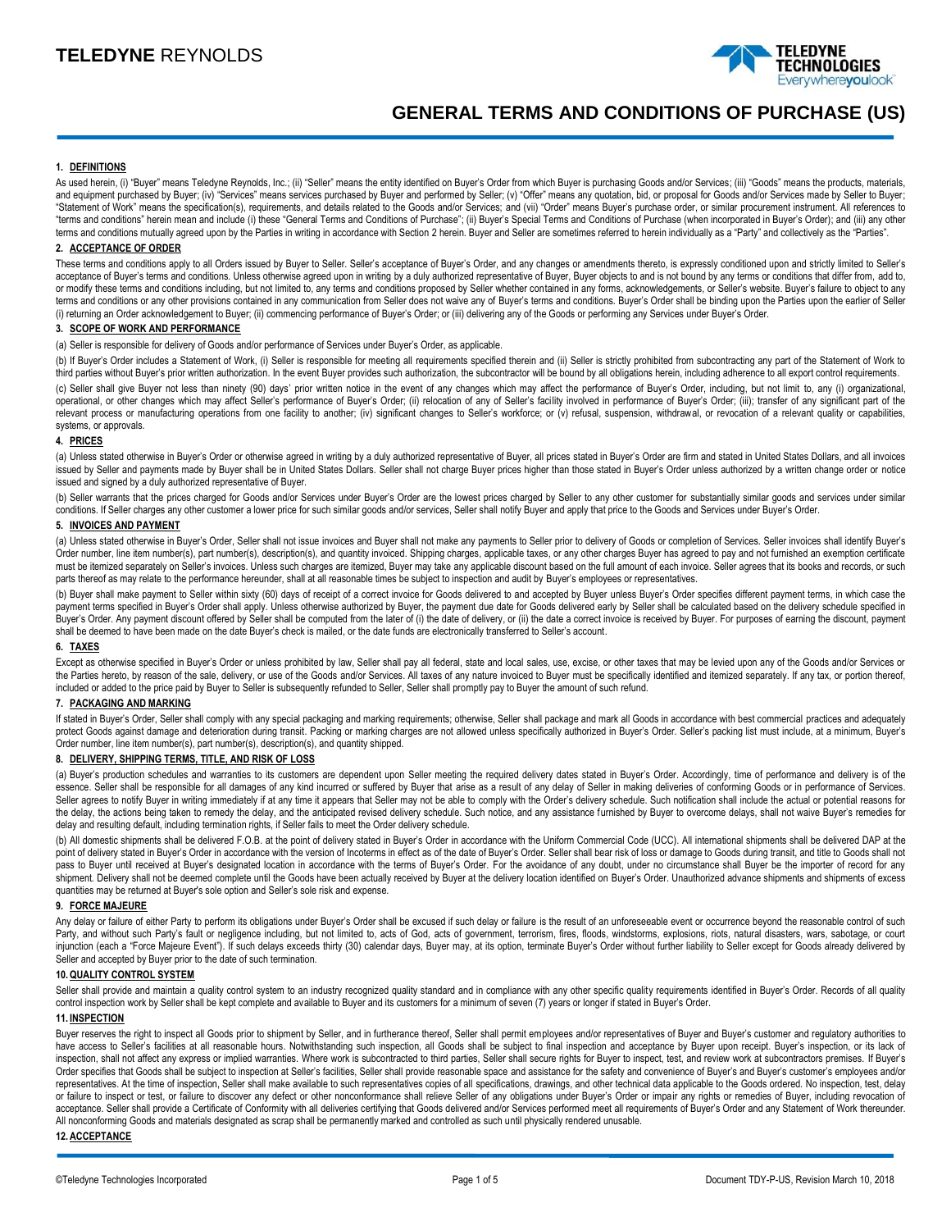

# **GENERAL TERMS AND CONDITIONS OF PURCHASE (US)**

## **1. DEFINITIONS**

As used herein, (i) "Buyer" means Teledyne Reynolds, Inc.; (ii) "Seller" means the entity identified on Buyer's Order from which Buyer is purchasing Goods and/or Services; (iii) "Goods" means the products, materials, and equipment purchased by Buyer; (iv) "Services" means services purchased by Buyer and performed by Seller; (v) "Offer" means any quotation, bid, or proposal for Goods and/or Services made by Seller to Buyer; "Statement of Work" means the specification(s), requirements, and details related to the Goods and/or Services; and (vii) "Order" means Buyer's purchase order, or similar procurement instrument. All references to "terms and conditions" herein mean and include (i) these "General Terms and Conditions of Purchase"; (ii) Buyer's Special Terms and Conditions of Purchase (when incorporated in Buyer's Order); and (iii) any other terms and conditions mutually agreed upon by the Parties in writing in accordance with Section 2 herein. Buyer and Seller are sometimes referred to herein individually as a "Party" and collectively as the "Parties".

# **2. ACCEPTANCE OF ORDER**

These terms and conditions apply to all Orders issued by Buyer to Seller. Seller's acceptance of Buyer's Order, and any changes or amendments thereto, is expressly conditioned upon and strictly limited to Seller's acceptance of Buyer's terms and conditions. Unless otherwise agreed upon in writing by a duly authorized representative of Buyer, Buyer objects to and is not bound by any terms or conditions that differ from, add to, or modify these terms and conditions including, but not limited to, any terms and conditions proposed by Seller whether contained in any forms, acknowledgements, or Seller's website. Buyer's failure to object to any terms and conditions or any other provisions contained in any communication from Seller does not waive any of Buyer's terms and conditions. Buyer's Order shall be binding upon the Parties upon the earlier of Seller (i) returning an Order acknowledgement to Buyer; (ii) commencing performance of Buyer's Order; or (iii) delivering any of the Goods or performing any Services under Buyer's Order.

## **3. SCOPE OF WORK AND PERFORMANCE**

(a) Seller is responsible for delivery of Goods and/or performance of Services under Buyer's Order, as applicable.

(b) If Buyer's Order includes a Statement of Work, (i) Seller is responsible for meeting all requirements specified therein and (ii) Seller is strictly prohibited from subcontracting any part of the Statement of Work to third parties without Buyer's prior written authorization. In the event Buyer provides such authorization, the subcontractor will be bound by all obligations herein, including adherence to all export control requirements.

(c) Seller shall give Buyer not less than ninety (90) days' prior written notice in the event of any changes which may affect the performance of Buyer's Order, including, but not limit to, any (i) organizational, operational, or other changes which may affect Seller's performance of Buyer's Order; (ii) relocation of any of Seller's facility involved in performance of Buyer's Order; (iii); transfer of any significant part of the relevant process or manufacturing operations from one facility to another; (iv) significant changes to Seller's workforce; or (v) refusal, suspension, withdrawal, or revocation of a relevant quality or capabilities, systems, or approvals.

#### **4. PRICES**

(a) Unless stated otherwise in Buyer's Order or otherwise agreed in writing by a duly authorized representative of Buyer, all prices stated in Buyer's Order are firm and stated in United States Dollars, and all invoices issued by Seller and payments made by Buyer shall be in United States Dollars. Seller shall not charge Buyer prices higher than those stated in Buyer's Order unless authorized by a written change order or notice issued and signed by a duly authorized representative of Buyer.

(b) Seller warrants that the prices charged for Goods and/or Services under Buyer's Order are the lowest prices charged by Seller to any other customer for substantially similar goods and services under similar conditions. If Seller charges any other customer a lower price for such similar goods and/or services, Seller shall notify Buyer and apply that price to the Goods and Services under Buyer's Order.

#### **5. INVOICES AND PAYMENT**

(a) Unless stated otherwise in Buyer's Order, Seller shall not issue invoices and Buyer shall not make any payments to Seller prior to delivery of Goods or completion of Services. Seller invoices shall identify Buyer's Order number, line item number(s), part number(s), description(s), and quantity invoiced. Shipping charges, applicable taxes, or any other charges Buyer has agreed to pay and not furnished an exemption certificate must be itemized separately on Seller's invoices. Unless such charges are itemized, Buyer may take any applicable discount based on the full amount of each invoice. Seller agrees that its books and records, or such parts thereof as may relate to the performance hereunder, shall at all reasonable times be subject to inspection and audit by Buyer's employees or representatives.

(b) Buyer shall make payment to Seller within sixty (60) days of receipt of a correct invoice for Goods delivered to and accepted by Buyer unless Buyer's Order specifies different payment terms, in which case the payment terms specified in Buyer's Order shall apply. Unless otherwise authorized by Buyer, the payment due date for Goods delivered early by Seller shall be calculated based on the delivery schedule specified in Buyer's Order. Any payment discount offered by Seller shall be computed from the later of (i) the date of delivery, or (ii) the date a correct invoice is received by Buyer. For purposes of earning the discount, payment shall be deemed to have been made on the date Buyer's check is mailed, or the date funds are electronically transferred to Seller's account.

# **6. TAXES**

Except as otherwise specified in Buyer's Order or unless prohibited by law, Seller shall pay all federal, state and local sales, use, excise, or other taxes that may be levied upon any of the Goods and/or Services or the Parties hereto, by reason of the sale, delivery, or use of the Goods and/or Services. All taxes of any nature invoiced to Buyer must be specifically identified and itemized separately. If any tax, or portion thereof, included or added to the price paid by Buyer to Seller is subsequently refunded to Seller, Seller shall promptly pay to Buyer the amount of such refund.

#### **7. PACKAGING AND MARKING**

If stated in Buyer's Order, Seller shall comply with any special packaging and marking requirements; otherwise, Seller shall package and mark all Goods in accordance with best commercial practices and adequately protect Goods against damage and deterioration during transit. Packing or marking charges are not allowed unless specifically authorized in Buyer's Order. Seller's packing list must include, at a minimum, Buyer's Order number, line item number(s), part number(s), description(s), and quantity shipped.

# **8. DELIVERY, SHIPPING TERMS, TITLE, AND RISK OF LOSS**

(a) Buyer's production schedules and warranties to its customers are dependent upon Seller meeting the required delivery dates stated in Buyer's Order. Accordingly, time of performance and delivery is of the essence. Seller shall be responsible for all damages of any kind incurred or suffered by Buyer that arise as a result of any delay of Seller in making deliveries of conforming Goods or in performance of Services. Seller agrees to notify Buyer in writing immediately if at any time it appears that Seller may not be able to comply with the Order's delivery schedule. Such notification shall include the actual or potential reasons for the delay, the actions being taken to remedy the delay, and the anticipated revised delivery schedule. Such notice, and any assistance furnished by Buyer to overcome delays, shall not waive Buyer's remedies for delay and resulting default, including termination rights, if Seller fails to meet the Order delivery schedule.

(b) All domestic shipments shall be delivered F.O.B. at the point of delivery stated in Buyer's Order in accordance with the Uniform Commercial Code (UCC). All international shipments shall be delivered DAP at the point of delivery stated in Buyer's Order in accordance with the version of Incoterms in effect as of the date of Buyer's Order. Seller shall bear risk of loss or damage to Goods during transit, and title to Goods shall no pass to Buyer until received at Buyer's designated location in accordance with the terms of Buyer's Order. For the avoidance of any doubt, under no circumstance shall Buyer be the importer of record for any shipment. Delivery shall not be deemed complete until the Goods have been actually received by Buyer at the delivery location identified on Buyer's Order. Unauthorized advance shipments and shipments of excess quantities may be returned at Buyer's sole option and Seller's sole risk and expense.

# **9. FORCE MAJEURE**

Any delay or failure of either Party to perform its obligations under Buyer's Order shall be excused if such delay or failure is the result of an unforeseeable event or occurrence beyond the reasonable control of such Party, and without such Party's fault or negligence including, but not limited to, acts of God, acts of government, terrorism, fires, floods, windstorms, explosions, riots, natural disasters, wars, sabotage, or court injunction (each a "Force Majeure Event"). If such delays exceeds thirty (30) calendar days, Buyer may, at its option, terminate Buyer's Order without further liability to Seller except for Goods already delivered by Seller and accepted by Buyer prior to the date of such termination.

# **10.QUALITY CONTROL SYSTEM**

Seller shall provide and maintain a quality control system to an industry recognized quality standard and in compliance with any other specific quality requirements identified in Buyer's Order. Records of all quality control inspection work by Seller shall be kept complete and available to Buyer and its customers for a minimum of seven (7) years or longer if stated in Buyer's Order.

# **11. INSPECTION**

Buyer reserves the right to inspect all Goods prior to shipment by Seller, and in furtherance thereof, Seller shall permit employees and/or representatives of Buyer and Buyer's customer and regulatory authorities to have access to Seller's facilities at all reasonable hours. Notwithstanding such inspection, all Goods shall be subject to final inspection and acceptance by Buyer upon receipt. Buyer's inspection, or its lack of inspection, shall not affect any express or implied warranties. Where work is subcontracted to third parties, Seller shall secure rights for Buyer to inspect, test, and review work at subcontractors premises. If Buyer's Order specifies that Goods shall be subject to inspection at Seller's facilities, Seller shall provide reasonable space and assistance for the safety and convenience of Buyer's and Buyer's customer's employees and/or representatives. At the time of inspection, Seller shall make available to such representatives copies of all specifications, drawings, and other technical data applicable to the Goods ordered. No inspection, test, delay or failure to inspect or test, or failure to discover any defect or other nonconformance shall relieve Seller of any obligations under Buyer's Order or impair any rights or remedies of Buyer, including revocation of acceptance. Seller shall provide a Certificate of Conformity with all deliveries certifying that Goods delivered and/or Services performed meet all requirements of Buyer's Order and any Statement of Work thereunder. All nonconforming Goods and materials designated as scrap shall be permanently marked and controlled as such until physically rendered unusable.

#### **12. ACCEPTANCE**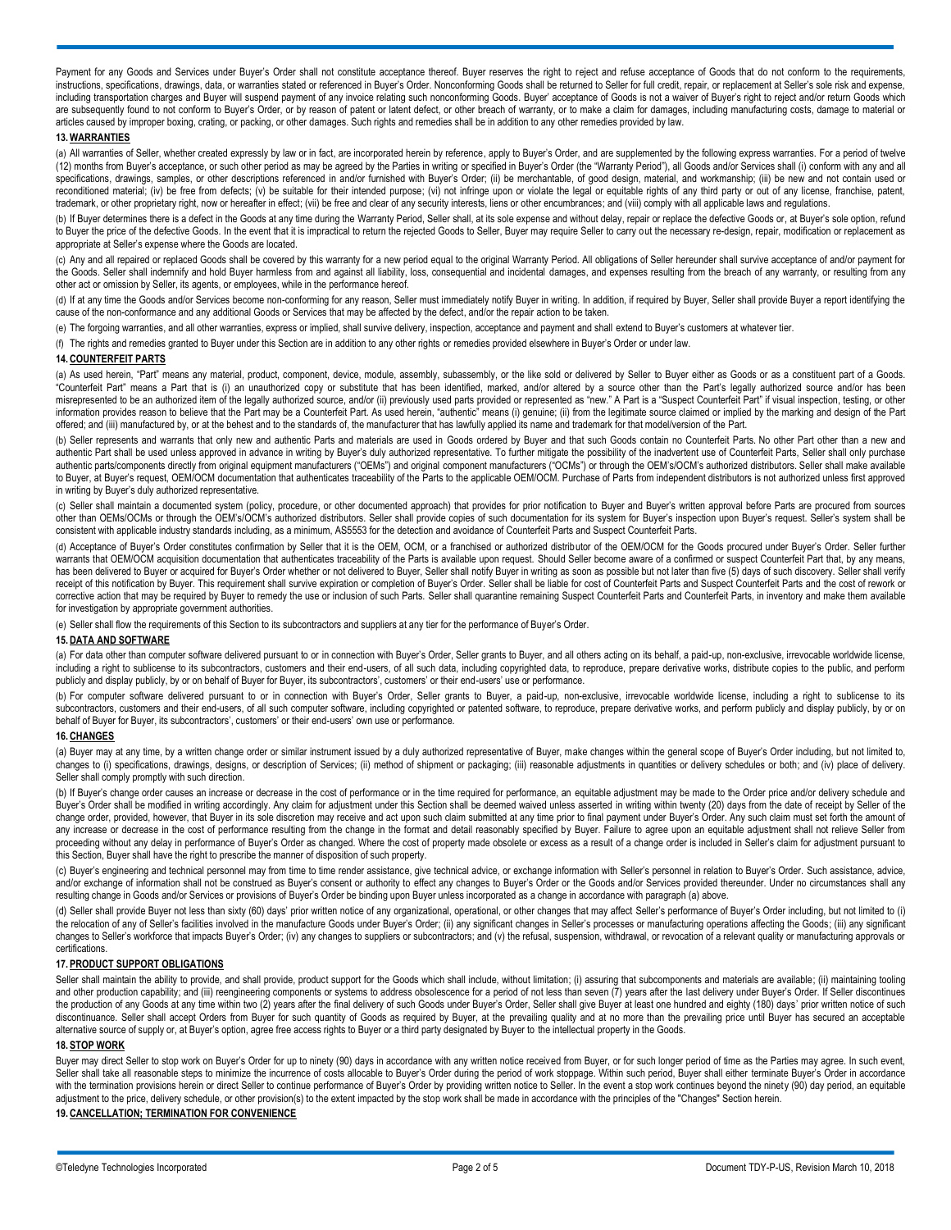Payment for any Goods and Services under Buyer's Order shall not constitute acceptance thereof. Buyer reserves the right to reject and refuse acceptance of Goods that do not conform to the requirements, instructions, specifications, drawings, data, or warranties stated or referenced in Buyer's Order. Nonconforming Goods shall be returned to Seller for full credit, repair, or replacement at Seller's sole risk and expense, including transportation charges and Buyer will suspend payment of any invoice relating such nonconforming Goods. Buyer' acceptance of Goods is not a waiver of Buyer's right to reject and/or return Goods which are subsequently found to not conform to Buyer's Order, or by reason of patent or latent defect, or other breach of warranty, or to make a claim for damages, including manufacturing costs, damage to material or articles caused by improper boxing, crating, or packing, or other damages. Such rights and remedies shall be in addition to any other remedies provided by law.

#### **13.WARRANTIES**

(a) All warranties of Seller, whether created expressly by law or in fact, are incorporated herein by reference, apply to Buyer's Order, and are supplemented by the following express warranties. For a period of twelve (12) months from Buyer's acceptance, or such other period as may be agreed by the Parties in writing or specified in Buyer's Order (the "Warranty Period"), all Goods and/or Services shall (i) conform with any and all specifications, drawings, samples, or other descriptions referenced in and/or furnished with Buyer's Order; (ii) be merchantable, of good design, material, and workmanship; (iii) be new and not contain used or reconditioned material; (iv) be free from defects; (v) be suitable for their intended purpose; (vi) not infringe upon or violate the legal or equitable rights of any third party or out of any license, franchise, patent, trademark, or other proprietary right, now or hereafter in effect; (vii) be free and clear of any security interests, liens or other encumbrances; and (viii) comply with all applicable laws and regulations.

(b) If Buyer determines there is a defect in the Goods at any time during the Warranty Period, Seller shall, at its sole expense and without delay, repair or replace the defective Goods or, at Buyer's sole option, refund to Buyer the price of the defective Goods. In the event that it is impractical to return the rejected Goods to Seller, Buyer may require Seller to carry out the necessary re-design, repair, modification or replacement as appropriate at Seller's expense where the Goods are located.

(c) Any and all repaired or replaced Goods shall be covered by this warranty for a new period equal to the original Warranty Period. All obligations of Seller hereunder shall survive acceptance of and/or payment for the Goods. Seller shall indemnify and hold Buyer harmless from and against all liability, loss, consequential and incidental damages, and expenses resulting from the breach of any warranty, or resulting from any other act or omission by Seller, its agents, or employees, while in the performance hereof.

(d) If at any time the Goods and/or Services become non-conforming for any reason, Seller must immediately notify Buyer in writing. In addition, if required by Buyer, Seller shall provide Buyer a report identifying the cause of the non-conformance and any additional Goods or Services that may be affected by the defect, and/or the repair action to be taken.

(e) The forgoing warranties, and all other warranties, express or implied, shall survive delivery, inspection, acceptance and payment and shall extend to Buyer's customers at whatever tier.

(f) The rights and remedies granted to Buyer under this Section are in addition to any other rights or remedies provided elsewhere in Buyer's Order or under law.

#### **14. COUNTERFEIT PARTS**

(a) As used herein, "Part" means any material, product, component, device, module, assembly, subassembly, or the like sold or delivered by Seller to Buyer either as Goods or as a constituent part of a Goods. "Counterfeit Part" means a Part that is (i) an unauthorized copy or substitute that has been identified, marked, and/or altered by a source other than the Part's legally authorized source and/or has been misrepresented to be an authorized item of the legally authorized source, and/or (ii) previously used parts provided or represented as "new." A Part is a "Suspect Counterfeit Part" if visual inspection, testing, or other information provides reason to believe that the Part may be a Counterfeit Part. As used herein, "authentic" means (i) genuine; (ii) from the legitimate source claimed or implied by the marking and design of the Part offered; and (iii) manufactured by, or at the behest and to the standards of, the manufacturer that has lawfully applied its name and trademark for that model/version of the Part.

(b) Seller represents and warrants that only new and authentic Parts and materials are used in Goods ordered by Buyer and that such Goods contain no Counterfeit Parts. No other Part other than a new and authentic Part shall be used unless approved in advance in writing by Buyer's duly authorized representative. To further mitigate the possibility of the inadvertent use of Counterfeit Parts, Seller shall only purchase authentic parts/components directly from original equipment manufacturers ("OEMs") and original component manufacturers ("OCMs") or through the OEM's/OCM's authorized distributors. Seller shall make available to Buyer, at Buyer's request, OEM/OCM documentation that authenticates traceability of the Parts to the applicable OEM/OCM. Purchase of Parts from independent distributors is not authorized unless first approved in writing by Buyer's duly authorized representative.

(c) Seller shall maintain a documented system (policy, procedure, or other documented approach) that provides for prior notification to Buyer and Buyer's written approval before Parts are procured from sources other than OEMs/OCMs or through the OEM's/OCM's authorized distributors. Seller shall provide copies of such documentation for its system for Buyer's inspection upon Buyer's request. Seller's system shall be consistent with applicable industry standards including, as a minimum, AS5553 for the detection and avoidance of Counterfeit Parts and Suspect Counterfeit Parts.

(d) Acceptance of Buyer's Order constitutes confirmation by Seller that it is the OEM, OCM, or a franchised or authorized distributor of the OEM/OCM for the Goods procured under Buyer's Order. Seller further warrants that OEM/OCM acquisition documentation that authenticates traceability of the Parts is available upon request. Should Seller become aware of a confirmed or suspect Counterfeit Part that, by any means, has been delivered to Buyer or acquired for Buyer's Order whether or not delivered to Buyer, Seller shall notify Buyer in writing as soon as possible but not later than five (5) days of such discovery. Seller shall verify receipt of this notification by Buyer. This requirement shall survive expiration or completion of Buyer's Order. Seller shall be liable for cost of Counterfeit Parts and Suspect Counterfeit Parts and the cost of rework or corrective action that may be required by Buyer to remedy the use or inclusion of such Parts. Seller shall quarantine remaining Suspect Counterfeit Parts and Counterfeit Parts, in inventory and make them available for investigation by appropriate government authorities.

(e) Seller shall flow the requirements of this Section to its subcontractors and suppliers at any tier for the performance of Buyer's Order.

## **15. DATA AND SOFTWARE**

(a) For data other than computer software delivered pursuant to or in connection with Buyer's Order, Seller grants to Buyer, and all others acting on its behalf, a paid-up, non-exclusive, irrevocable worldwide license, including a right to sublicense to its subcontractors, customers and their end-users, of all such data, including copyrighted data, to reproduce, prepare derivative works, distribute copies to the public, and perform publicly and display publicly, by or on behalf of Buyer for Buyer, its subcontractors', customers' or their end-users' use or performance.

(b) For computer software delivered pursuant to or in connection with Buyer's Order, Seller grants to Buyer, a paid-up, non-exclusive, irrevocable worldwide license, including a right to sublicense to its subcontractors, customers and their end-users, of all such computer software, including copyrighted or patented software, to reproduce, prepare derivative works, and perform publicly and display publicly, by or on behalf of Buyer for Buyer, its subcontractors', customers' or their end-users' own use or performance.

## **16. CHANGES**

(a) Buyer may at any time, by a written change order or similar instrument issued by a duly authorized representative of Buyer, make changes within the general scope of Buyer's Order including, but not limited to, changes to (i) specifications, drawings, designs, or description of Services; (ii) method of shipment or packaging; (iii) reasonable adjustments in quantities or delivery schedules or both; and (iv) place of delivery. Seller shall comply promptly with such direction.

(b) If Buyer's change order causes an increase or decrease in the cost of performance or in the time required for performance, an equitable adjustment may be made to the Order price and/or delivery schedule and Buyer's Order shall be modified in writing accordingly. Any claim for adjustment under this Section shall be deemed waived unless asserted in writing within twenty (20) days from the date of receipt by Seller of the change order, provided, however, that Buyer in its sole discretion may receive and act upon such claim submitted at any time prior to final payment under Buyer's Order. Any such claim must set forth the amount of any increase or decrease in the cost of performance resulting from the change in the format and detail reasonably specified by Buyer. Failure to agree upon an equitable adjustment shall not relieve Seller from proceeding without any delay in performance of Buyer's Order as changed. Where the cost of property made obsolete or excess as a result of a change order is included in Seller's claim for adjustment pursuant to this Section, Buyer shall have the right to prescribe the manner of disposition of such property.

(c) Buyer's engineering and technical personnel may from time to time render assistance, give technical advice, or exchange information with Seller's personnel in relation to Buyer's Order. Such assistance, advice,<br>and/or resulting change in Goods and/or Services or provisions of Buyer's Order be binding upon Buyer unless incorporated as a change in accordance with paragraph (a) above.

(d) Seller shall provide Buyer not less than sixty (60) days' prior written notice of any organizational, operational, or other changes that may affect Seller's performance of Buyer's Order including, but not limited to (i) the relocation of any of Seller's facilities involved in the manufacture Goods under Buyer's Order; (ii) any significant changes in Seller's processes or manufacturing operations affecting the Goods; (iii) any significant changes to Seller's workforce that impacts Buyer's Order; (iv) any changes to suppliers or subcontractors; and (v) the refusal, suspension, withdrawal, or revocation of a relevant quality or manufacturing approvals or certifications.

#### **17. PRODUCT SUPPORT OBLIGATIONS**

Seller shall maintain the ability to provide, and shall provide, product support for the Goods which shall include, without limitation; (i) assuring that subcomponents and materials are available; (ii) maintaining tooling and other production capability; and (iii) reengineering components or systems to address obsolescence for a period of not less than seven (7) years after the last delivery under Buyer's Order. If Seller discontinues the production of any Goods at any time within two (2) years after the final delivery of such Goods under Buyer's Order, Seller shall give Buyer at least one hundred and eighty (180) days' prior written notice of such discontinuance. Seller shall accept Orders from Buyer for such quantity of Goods as required by Buyer, at the prevailing quality and at no more than the prevailing price until Buyer has secured an acceptable alternative source of supply or, at Buyer's option, agree free access rights to Buyer or a third party designated by Buyer to the intellectual property in the Goods.

#### **18. STOP WORK**

Buyer may direct Seller to stop work on Buyer's Order for up to ninety (90) days in accordance with any written notice received from Buyer, or for such longer period of time as the Parties may agree. In such event, Seller shall take all reasonable steps to minimize the incurrence of costs allocable to Buyer's Order during the period of work stoppage. Within such period, Buyer shall either terminate Buyer's Order in accordance with the termination provisions herein or direct Seller to continue performance of Buyer's Order by providing written notice to Seller. In the event a stop work continues beyond the ninety (90) day period, an equitable adjustment to the price, delivery schedule, or other provision(s) to the extent impacted by the stop work shall be made in accordance with the principles of the "Changes" Section herein.

**19. CANCELLATION; TERMINATION FOR CONVENIENCE**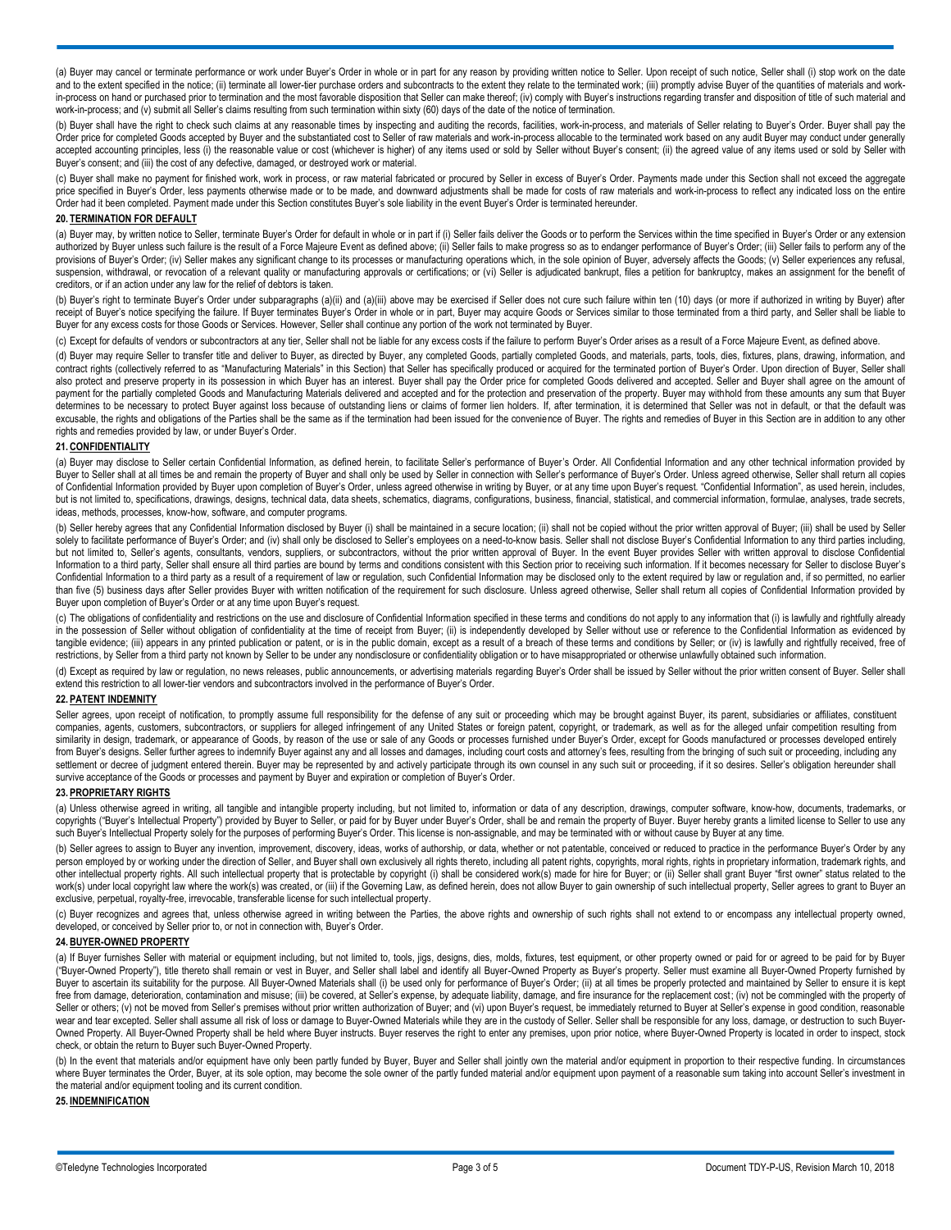(a) Buyer may cancel or terminate performance or work under Buyer's Order in whole or in part for any reason by providing written notice to Seller. Upon receipt of such notice, Seller shall (i) stop work on the date and to the extent specified in the notice; (ii) terminate all lower-tier purchase orders and subcontracts to the extent they relate to the terminated work; (iii) promptly advise Buyer of the quantities of materials and wor in-process on hand or purchased prior to termination and the most favorable disposition that Seller can make thereof; (iv) comply with Buyer's instructions regarding transfer and disposition of title of such material and work-in-process; and (v) submit all Seller's claims resulting from such termination within sixty (60) days of the date of the notice of termination.

(b) Buyer shall have the right to check such claims at any reasonable times by inspecting and auditing the records, facilities, work-in-process, and materials of Seller relating to Buyer's Order. Buyer shall pay the Order price for completed Goods accepted by Buyer and the substantiated cost to Seller of raw materials and work-in-process allocable to the terminated work based on any audit Buyer may conduct under generally accepted accounting principles, less (i) the reasonable value or cost (whichever is higher) of any items used or sold by Seller without Buyer's consent; (ii) the agreed value of any items used or sold by Seller with Buyer's consent; and (iii) the cost of any defective, damaged, or destroyed work or material.

(c) Buyer shall make no payment for finished work, work in process, or raw material fabricated or procured by Seller in excess of Buyer's Order. Payments made under this Section shall not exceed the aggregate price specified in Buyer's Order, less payments otherwise made or to be made, and downward adjustments shall be made for costs of raw materials and work-in-process to reflect any indicated loss on the entire Order had it been completed. Payment made under this Section constitutes Buyer's sole liability in the event Buyer's Order is terminated hereunder.

#### **20. TERMINATION FOR DEFAULT**

(a) Buyer may, by written notice to Seller, terminate Buyer's Order for default in whole or in part if (i) Seller fails deliver the Goods or to perform the Services within the time specified in Buyer's Order or any extensi authorized by Buyer unless such failure is the result of a Force Majeure Event as defined above; (ii) Seller fails to make progress so as to endanger performance of Buyer's Order; (iii) Seller fails to perform any of the provisions of Buyer's Order; (iv) Seller makes any significant change to its processes or manufacturing operations which, in the sole opinion of Buyer, adversely affects the Goods; (v) Seller experiences any refusal, suspension, withdrawal, or revocation of a relevant quality or manufacturing approvals or certifications; or (vi) Seller is adjudicated bankrupt, files a petition for bankruptcy, makes an assignment for the benefit of creditors, or if an action under any law for the relief of debtors is taken.

(b) Buyer's right to terminate Buyer's Order under subparagraphs (a)(ii) and (a)(iii) above may be exercised if Seller does not cure such failure within ten (10) days (or more if authorized in writing by Buyer) after receipt of Buyer's notice specifying the failure. If Buyer terminates Buyer's Order in whole or in part, Buyer may acquire Goods or Services similar to those terminated from a third party, and Seller shall be liable to Buyer for any excess costs for those Goods or Services. However, Seller shall continue any portion of the work not terminated by Buyer.

(c) Except for defaults of vendors or subcontractors at any tier, Seller shall not be liable for any excess costs if the failure to perform Buyer's Order arises as a result of a Force Majeure Event, as defined above.

(d) Buyer may require Seller to transfer title and deliver to Buyer, as directed by Buyer, any completed Goods, partially completed Goods, and materials, parts, tools, dies, fixtures, plans, drawing, information, and contract rights (collectively referred to as "Manufacturing Materials" in this Section) that Seller has specifically produced or acquired for the terminated portion of Buyer's Order. Upon direction of Buyer, Seller shall also protect and preserve property in its possession in which Buyer has an interest. Buyer shall pay the Order price for completed Goods delivered and accepted. Seller and Buyer shall agree on the amount of payment for the partially completed Goods and Manufacturing Materials delivered and accepted and for the protection and preservation of the property. Buyer may withhold from these amounts any sum that Buyer determines to be necessary to protect Buyer against loss because of outstanding liens or claims of former lien holders. If, after termination, it is determined that Seller was not in default, or that the default was excusable, the rights and obligations of the Parties shall be the same as if the termination had been issued for the convenience of Buyer. The rights and remedies of Buyer in this Section are in addition to any other rights and remedies provided by law, or under Buyer's Order.

## **21. CONFIDENTIALITY**

(a) Buyer may disclose to Seller certain Confidential Information, as defined herein, to facilitate Seller's performance of Buyer's Order. All Confidential Information and any other technical information provided by Buyer to Seller shall at all times be and remain the property of Buyer and shall only be used by Seller in connection with Seller's performance of Buyer's Order. Unless agreed otherwise, Seller shall return all copies of Confidential Information provided by Buyer upon completion of Buyer's Order, unless agreed otherwise in writing by Buyer, or at any time upon Buyer's request. "Confidential Information", as used herein, includes, but is not limited to, specifications, drawings, designs, technical data, data sheets, schematics, diagrams, configurations, business, financial, statistical, and commercial information, formulae, analyses, trade secrets, ideas, methods, processes, know-how, software, and computer programs.

(b) Seller hereby agrees that any Confidential Information disclosed by Buyer (i) shall be maintained in a secure location; (ii) shall not be copied without the prior written approval of Buyer; (iii) shall be used by Seller solely to facilitate performance of Buyer's Order; and (iv) shall only be disclosed to Seller's employees on a need-to-know basis. Seller shall not disclose Buyer's Confidential Information to any third parties including, but not limited to, Seller's agents, consultants, vendors, suppliers, or subcontractors, without the prior written approval of Buyer. In the event Buyer provides Seller with written approval to disclose Confidential Information to a third party, Seller shall ensure all third parties are bound by terms and conditions consistent with this Section prior to receiving such information. If it becomes necessary for Seller to disclose Buyer's Confidential Information to a third party as a result of a requirement of law or regulation, such Confidential Information may be disclosed only to the extent required by law or regulation and, if so permitted, no earlier than five (5) business days after Seller provides Buyer with written notification of the requirement for such disclosure. Unless agreed otherwise, Seller shall return all copies of Confidential Information provided by Buyer upon completion of Buyer's Order or at any time upon Buyer's request.

(c) The obligations of confidentiality and restrictions on the use and disclosure of Confidential Information specified in these terms and conditions do not apply to any information that (i) is lawfully and rightfully alre in the possession of Seller without obligation of confidentiality at the time of receipt from Buyer; (ii) is independently developed by Seller without use or reference to the Confidential Information as evidenced by tangible evidence; (iii) appears in any printed publication or patent, or is in the public domain, except as a result of a breach of these terms and conditions by Seller; or (iv) is lawfully and rightfully received, free o restrictions, by Seller from a third party not known by Seller to be under any nondisclosure or confidentiality obligation or to have misappropriated or otherwise unlawfully obtained such information.

(d) Except as required by law or regulation, no news releases, public announcements, or advertising materials regarding Buyer's Order shall be issued by Seller without the prior written consent of Buyer. Seller shall extend this restriction to all lower-tier vendors and subcontractors involved in the performance of Buyer's Order.

# **22. PATENT INDEMNITY**

Seller agrees, upon receipt of notification, to promptly assume full responsibility for the defense of any suit or proceeding which may be brought against Buyer, its parent, subsidiaries or affiliates, constituent companies, agents, customers, subcontractors, or suppliers for alleged infringement of any United States or foreign patent, copyright, or trademark, as well as for the alleged unfair competition resulting from similarity in design, trademark, or appearance of Goods, by reason of the use or sale of any Goods or processes furnished under Buyer's Order, except for Goods manufactured or processes developed entirely from Buyer's designs. Seller further agrees to indemnify Buyer against any and all losses and damages, including court costs and attorney's fees, resulting from the bringing of such suit or proceeding, including any settlement or decree of judgment entered therein. Buyer may be represented by and actively participate through its own counsel in any such suit or proceeding, if it so desires. Seller's obligation hereunder shall survive acceptance of the Goods or processes and payment by Buyer and expiration or completion of Buyer's Order.

# **23. PROPRIETARY RIGHTS**

(a) Unless otherwise agreed in writing, all tangible and intangible property including, but not limited to, information or data of any description, drawings, computer software, know-how, documents, trademarks, or copyrights ("Buyer's Intellectual Property") provided by Buyer to Seller, or paid for by Buyer under Buyer's Order, shall be and remain the property of Buyer. Buyer hereby grants a limited license to Seller to use any such Buyer's Intellectual Property solely for the purposes of performing Buyer's Order. This license is non-assignable, and may be terminated with or without cause by Buyer at any time.

(b) Seller agrees to assign to Buyer any invention, improvement, discovery, ideas, works of authorship, or data, whether or not patentable, conceived or reduced to practice in the performance Buyer's Order by any person employed by or working under the direction of Seller, and Buyer shall own exclusively all rights thereto, including all patent rights, copyrights, moral rights, rights in proprietary information, trademark rights, a other intellectual property rights. All such intellectual property that is protectable by copyright (i) shall be considered work(s) made for hire for Buyer; or (ii) Seller shall grant Buyer "first owner" status related to work(s) under local copyright law where the work(s) was created, or (iii) if the Governing Law, as defined herein, does not allow Buyer to gain ownership of such intellectual property, Seller agrees to grant to Buyer an exclusive, perpetual, royalty-free, irrevocable, transferable license for such intellectual property.

(c) Buyer recognizes and agrees that, unless otherwise agreed in writing between the Parties, the above rights and ownership of such rights shall not extend to or encompass any intellectual property owned, developed, or conceived by Seller prior to, or not in connection with, Buyer's Order.

#### **24. BUYER-OWNED PROPERTY**

(a) If Buyer furnishes Seller with material or equipment including, but not limited to, tools, jigs, designs, dies, molds, fixtures, test equipment, or other property owned or paid for or agreed to be paid for by Buyer ("Buyer-Owned Property"), title thereto shall remain or vest in Buyer, and Seller shall label and identify all Buyer-Owned Property as Buyer's property. Seller must examine all Buyer-Owned Property furnished by Buyer to ascertain its suitability for the purpose. All Buyer-Owned Materials shall (i) be used only for performance of Buyer's Order; (ii) at all times be properly protected and maintained by Seller to ensure it is kept free from damage, deterioration, contamination and misuse; (iii) be covered, at Seller's expense, by adequate liability, damage, and fire insurance for the replacement cost; (iv) not be commingled with the property of Seller or others; (v) not be moved from Seller's premises without prior written authorization of Buyer; and (vi) upon Buyer's request, be immediately returned to Buyer at Seller's expense in good condition, reasonable wear and tear excepted. Seller shall assume all risk of loss or damage to Buyer-Owned Materials while they are in the custody of Seller. Seller shall be responsible for any loss, damage, or destruction to such Buyer-Owned Property. All Buyer-Owned Property shall be held where Buyer instructs. Buyer reserves the right to enter any premises, upon prior notice, where Buyer-Owned Property is located in order to inspect, stock check, or obtain the return to Buyer such Buyer-Owned Property.

(b) In the event that materials and/or equipment have only been partly funded by Buyer, Buyer and Seller shall jointly own the material and/or equipment in proportion to their respective funding. In circumstances where Buyer terminates the Order, Buyer, at its sole option, may become the sole owner of the partly funded material and/or equipment upon payment of a reasonable sum taking into account Seller's investment in the material and/or equipment tooling and its current condition.

# **25. INDEMNIFICATION**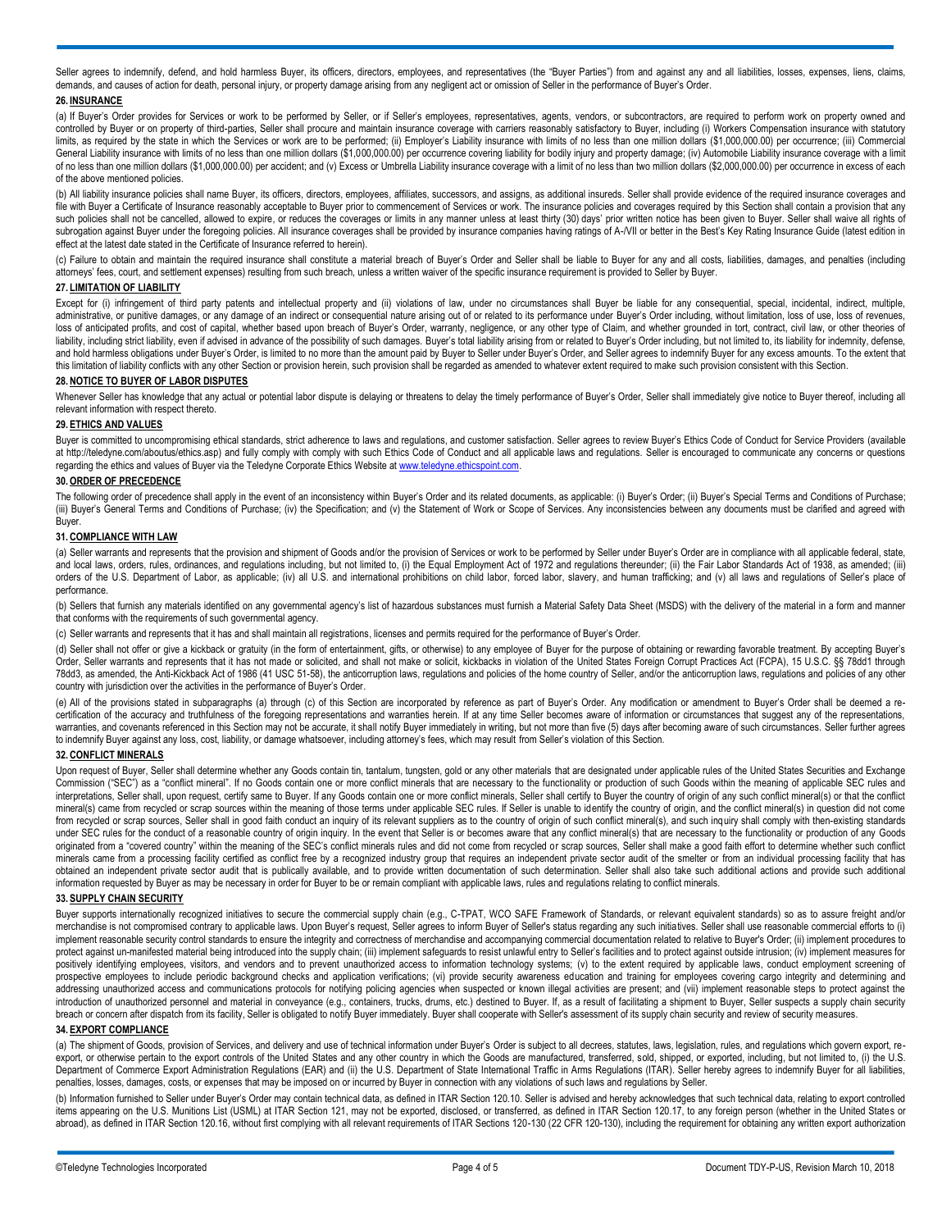Seller agrees to indemnify, defend, and hold harmless Buyer, its officers, directors, employees, and representatives (the "Buyer Parties") from and against any and all liabilities, losses, expenses, liens, claims, demands, and causes of action for death, personal injury, or property damage arising from any negligent act or omission of Seller in the performance of Buyer's Order.

# **26. INSURANCE**

(a) If Buyer's Order provides for Services or work to be performed by Seller, or if Seller's employees, representatives, agents, vendors, or subcontractors, are required to perform work on property owned and controlled by Buyer or on property of third-parties, Seller shall procure and maintain insurance coverage with carriers reasonably satisfactory to Buyer, including (i) Workers Compensation insurance with statutory limits, as required by the state in which the Services or work are to be performed; (ii) Employer's Liability insurance with limits of no less than one million dollars (\$1,000,000.00) per occurrence; (iii) Commercial General Liability insurance with limits of no less than one million dollars (\$1,000,000.00) per occurrence covering liability for bodily injury and property damage; (iv) Automobile Liability insurance coverage with a limit of no less than one million dollars (\$1,000,000.00) per accident; and (v) Excess or Umbrella Liability insurance coverage with a limit of no less than two million dollars (\$2,000,000.00) per occurrence in excess of each of the above mentioned policies.

(b) All liability insurance policies shall name Buyer, its officers, directors, employees, affiliates, successors, and assigns, as additional insureds. Seller shall provide evidence of the required insurance coverages and file with Buyer a Certificate of Insurance reasonably acceptable to Buyer prior to commencement of Services or work. The insurance policies and coverages required by this Section shall contain a provision that any such policies shall not be cancelled, allowed to expire, or reduces the coverages or limits in any manner unless at least thirty (30) days' prior written notice has been given to Buyer. Seller shall waive all rights of subrogation against Buyer under the foregoing policies. All insurance coverages shall be provided by insurance companies having ratings of A-/VII or better in the Best's Key Rating Insurance Guide (latest edition in effect at the latest date stated in the Certificate of Insurance referred to herein).

(c) Failure to obtain and maintain the required insurance shall constitute a material breach of Buyer's Order and Seller shall be liable to Buyer for any and all costs, liabilities, damages, and penalties (including attorneys' fees, court, and settlement expenses) resulting from such breach, unless a written waiver of the specific insurance requirement is provided to Seller by Buyer.

#### **27. LIMITATION OF LIABILITY**

Except for (i) infringement of third party patents and intellectual property and (ii) violations of law, under no circumstances shall Buyer be liable for any consequential, special, incidental, indirect, multiple, administrative, or punitive damages, or any damage of an indirect or consequential nature arising out of or related to its performance under Buyer's Order including, without limitation, loss of use, loss of revenues, loss of anticipated profits, and cost of capital, whether based upon breach of Buyer's Order, warranty, negligence, or any other type of Claim, and whether grounded in tort, contract, civil law, or other theories of liability, including strict liability, even if advised in advance of the possibility of such damages. Buyer's total liability arising from or related to Buyer's Order including, but not limited to, its liability for indemn and hold harmless obligations under Buyer's Order, is limited to no more than the amount paid by Buyer to Seller under Buyer's Order, and Seller agrees to indemnify Buyer for any excess amounts. To the extent that this limitation of liability conflicts with any other Section or provision herein, such provision shall be regarded as amended to whatever extent required to make such provision consistent with this Section.

#### **28. NOTICE TO BUYER OF LABOR DISPUTES**

Whenever Seller has knowledge that any actual or potential labor dispute is delaying or threatens to delay the timely performance of Buyer's Order, Seller shall immediately give notice to Buyer thereof, including all relevant information with respect thereto.

# **29. ETHICS AND VALUES**

Buyer is committed to uncompromising ethical standards, strict adherence to laws and regulations, and customer satisfaction. Seller agrees to review Buyer's Ethics Code of Conduct for Service Providers (available at http://teledyne.com/aboutus/ethics.asp) and fully comply with comply with such Ethics Code of Conduct and all applicable laws and regulations. Seller is encouraged to communicate any concerns or questions regarding the ethics and values of Buyer via the Teledyne Corporate Ethics Website a[t www.teledyne.ethicspoint.com.](http://www.teledyne.ethicspoint.com/)

#### **30.ORDER OF PRECEDENCE**

The following order of precedence shall apply in the event of an inconsistency within Buyer's Order and its related documents, as applicable: (i) Buyer's Order; (ii) Buyer's Special Terms and Conditions of Purchase; (iii) Buyer's General Terms and Conditions of Purchase; (iv) the Specification; and (v) the Statement of Work or Scope of Services. Any inconsistencies between any documents must be clarified and agreed with Buyer.

#### **31. COMPLIANCE WITH LAW**

(a) Seller warrants and represents that the provision and shipment of Goods and/or the provision of Services or work to be performed by Seller under Buyer's Order are in compliance with all applicable federal, state, and local laws, orders, rules, ordinances, and regulations including, but not limited to, (i) the Equal Employment Act of 1972 and regulations thereunder; (ii) the Fair Labor Standards Act of 1938, as amended; (iii) orders of the U.S. Department of Labor, as applicable; (iv) all U.S. and international prohibitions on child labor, forced labor, slavery, and human trafficking; and (v) all laws and regulations of Seller's place of performance.

(b) Sellers that furnish any materials identified on any governmental agency's list of hazardous substances must furnish a Material Safety Data Sheet (MSDS) with the delivery of the material in a form and manner that conforms with the requirements of such governmental agency.

(c) Seller warrants and represents that it has and shall maintain all registrations, licenses and permits required for the performance of Buyer's Order.

(d) Seller shall not offer or give a kickback or gratuity (in the form of entertainment, gifts, or otherwise) to any employee of Buyer for the purpose of obtaining or rewarding favorable treatment. By accepting Buyer's Order, Seller warrants and represents that it has not made or solicited, and shall not make or solicit, kickbacks in violation of the United States Foreign Corrupt Practices Act (FCPA), 15 U.S.C. §§ 78dd1 through 78dd3, as amended, the Anti-Kickback Act of 1986 (41 USC 51-58), the anticorruption laws, regulations and policies of the home country of Seller, and/or the anticorruption laws, regulations and policies of any other country with jurisdiction over the activities in the performance of Buyer's Order.

(e) All of the provisions stated in subparagraphs (a) through (c) of this Section are incorporated by reference as part of Buyer's Order. Any modification or amendment to Buyer's Order shall be deemed a recertification of the accuracy and truthfulness of the foregoing representations and warranties herein. If at any time Seller becomes aware of information or circumstances that suggest any of the representations, warranties, and covenants referenced in this Section may not be accurate, it shall notify Buyer immediately in writing, but not more than five (5) days after becoming aware of such circumstances. Seller further agrees to indemnify Buyer against any loss, cost, liability, or damage whatsoever, including attorney's fees, which may result from Seller's violation of this Section.

#### **32. CONFLICT MINERALS**

Upon request of Buyer, Seller shall determine whether any Goods contain tin, tantalum, tungsten, gold or any other materials that are designated under applicable rules of the United States Securities and Exchange Commission ("SEC") as a "conflict mineral". If no Goods contain one or more conflict minerals that are necessary to the functionality or production of such Goods within the meaning of applicable SEC rules and interpretations, Seller shall, upon request, certify same to Buyer. If any Goods contain one or more conflict minerals, Seller shall certify to Buyer the country of origin of any such conflict mineral(s) or that the conflict mineral(s) came from recycled or scrap sources within the meaning of those terms under applicable SEC rules. If Seller is unable to identify the country of origin, and the conflict mineral(s) in question did not come from recycled or scrap sources, Seller shall in good faith conduct an inquiry of its relevant suppliers as to the country of origin of such conflict mineral(s), and such inquiry shall comply with then-existing standards under SEC rules for the conduct of a reasonable country of origin inquiry. In the event that Seller is or becomes aware that any conflict mineral(s) that are necessary to the functionality or production of any Goods originated from a "covered country" within the meaning of the SEC's conflict minerals rules and did not come from recycled or scrap sources. Seller shall make a good faith effort to determine whether such conflict minerals came from a processing facility certified as conflict free by a recognized industry group that requires an independent private sector audit of the smelter or from an individual processing facility that has obtained an independent private sector audit that is publically available, and to provide written documentation of such determination. Seller shall also take such additional actions and provide such additional<br>information

## **33. SUPPLY CHAIN SECURITY**

Buyer supports internationally recognized initiatives to secure the commercial supply chain (e.g., C-TPAT, WCO SAFE Framework of Standards, or relevant equivalent standards) so as to assure freight and/or merchandise is not compromised contrary to applicable laws. Upon Buyer's request, Seller agrees to inform Buyer of Seller's status regarding any such initiatives. Seller shall use reasonable commercial efforts to (i) implement reasonable security control standards to ensure the integrity and correctness of merchandise and accompanying commercial documentation related to relative to Buyer's Order; (ii) implement procedures to protect against un-manifested material being introduced into the supply chain; (iii) implement safeguards to resist unlawful entry to Seller's facilities and to protect against outside intrusion; (iv) implement measures fo positively identifying employees, visitors, and vendors and to prevent unauthorized access to information technology systems; (v) to the extent required by applicable laws, conduct employment screening of prospective employees to include periodic background checks and application verifications; (vi) provide security awareness education and training for employees covering cargo integrity and determining and addressing unauthorized access and communications protocols for notifying policing agencies when suspected or known illegal activities are present; and (vii) implement reasonable steps to protect against the introduction of unauthorized personnel and material in conveyance (e.g., containers, trucks, drums, etc.) destined to Buyer. If, as a result of facilitating a shipment to Buyer, Seller suspects a supply chain security breach or concern after dispatch from its facility, Seller is obligated to notify Buyer immediately. Buyer shall cooperate with Seller's assessment of its supply chain security and review of security measures.

#### **34. EXPORT COMPLIANCE**

(a) The shipment of Goods, provision of Services, and delivery and use of technical information under Buyer's Order is subject to all decrees, statutes, laws, legislation, rules, and regulations which govern export, reexport, or otherwise pertain to the export controls of the United States and any other country in which the Goods are manufactured, transferred, sold, shipped, or exported, including, but not limited to, (i) the U.S. Department of Commerce Export Administration Regulations (EAR) and (ii) the U.S. Department of State International Traffic in Arms Regulations (ITAR). Seller hereby agrees to indemnify Buyer for all liabilities, penalties, losses, damages, costs, or expenses that may be imposed on or incurred by Buyer in connection with any violations of such laws and regulations by Seller.

(b) Information furnished to Seller under Buyer's Order may contain technical data, as defined in ITAR Section 120.10. Seller is advised and hereby acknowledges that such technical data, relating to export controlled items appearing on the U.S. Munitions List (USML) at ITAR Section 121, may not be exported, disclosed, or transferred, as defined in ITAR Section 120.17, to any foreign person (whether in the United States or abroad), as defined in ITAR Section 120.16, without first complying with all relevant requirements of ITAR Sections 120-130 (22 CFR 120-130), including the requirement for obtaining any written export authorization